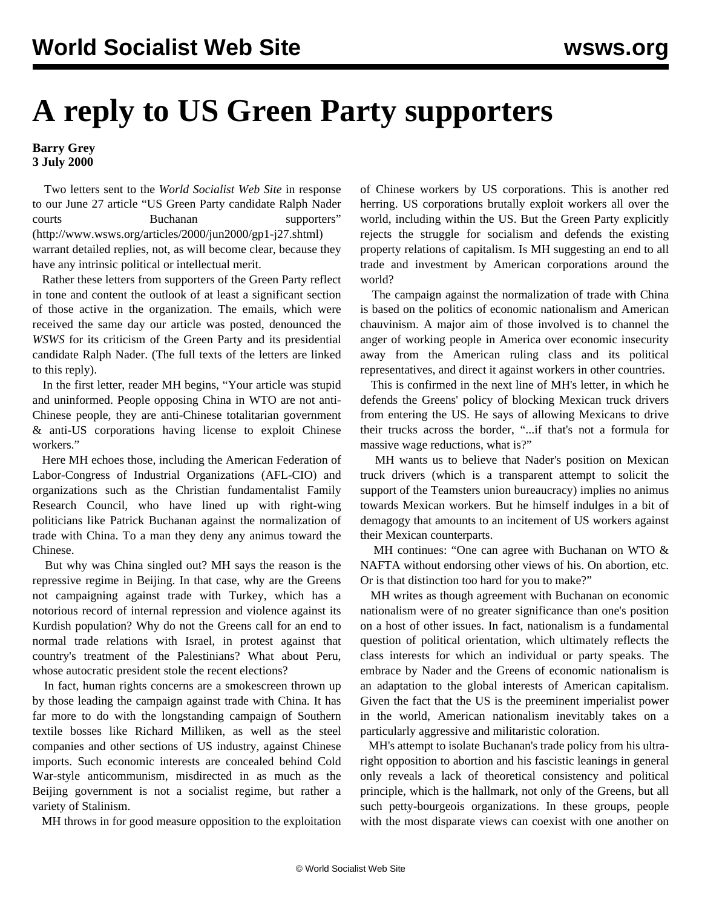## **A reply to US Green Party supporters**

## **Barry Grey 3 July 2000**

 Two letters sent to the *World Socialist Web Site* in response to our June 27 article ["US Green Party candidate Ralph Nader](../jun2000/gp1-j27.shtml) courts **Buchanan** supporters" (http://www.wsws.org/articles/2000/jun2000/gp1-j27.shtml) warrant detailed replies, not, as will become clear, because they have any intrinsic political or intellectual merit.

 Rather these letters from supporters of the Green Party reflect in tone and content the outlook of at least a significant section of those active in the organization. The emails, which were received the same day our article was posted, denounced the *WSWS* for its criticism of the Green Party and its presidential candidate Ralph Nader. ([The full texts of the letters are linked](gp-letts.shtml) [to this reply\)](gp-letts.shtml).

 In the first letter, reader MH begins, "Your article was stupid and uninformed. People opposing China in WTO are not anti-Chinese people, they are anti-Chinese totalitarian government & anti-US corporations having license to exploit Chinese workers<sup>"</sup>

 Here MH echoes those, including the American Federation of Labor-Congress of Industrial Organizations (AFL-CIO) and organizations such as the Christian fundamentalist Family Research Council, who have lined up with right-wing politicians like Patrick Buchanan against the normalization of trade with China. To a man they deny any animus toward the Chinese.

 But why was China singled out? MH says the reason is the repressive regime in Beijing. In that case, why are the Greens not campaigning against trade with Turkey, which has a notorious record of internal repression and violence against its Kurdish population? Why do not the Greens call for an end to normal trade relations with Israel, in protest against that country's treatment of the Palestinians? What about Peru, whose autocratic president stole the recent elections?

 In fact, human rights concerns are a smokescreen thrown up by those leading the campaign against trade with China. It has far more to do with the longstanding campaign of Southern textile bosses like Richard Milliken, as well as the steel companies and other sections of US industry, against Chinese imports. Such economic interests are concealed behind Cold War-style anticommunism, misdirected in as much as the Beijing government is not a socialist regime, but rather a variety of Stalinism.

MH throws in for good measure opposition to the exploitation

of Chinese workers by US corporations. This is another red herring. US corporations brutally exploit workers all over the world, including within the US. But the Green Party explicitly rejects the struggle for socialism and defends the existing property relations of capitalism. Is MH suggesting an end to all trade and investment by American corporations around the world?

 The campaign against the normalization of trade with China is based on the politics of economic nationalism and American chauvinism. A major aim of those involved is to channel the anger of working people in America over economic insecurity away from the American ruling class and its political representatives, and direct it against workers in other countries.

 This is confirmed in the next line of MH's letter, in which he defends the Greens' policy of blocking Mexican truck drivers from entering the US. He says of allowing Mexicans to drive their trucks across the border, "...if that's not a formula for massive wage reductions, what is?"

 MH wants us to believe that Nader's position on Mexican truck drivers (which is a transparent attempt to solicit the support of the Teamsters union bureaucracy) implies no animus towards Mexican workers. But he himself indulges in a bit of demagogy that amounts to an incitement of US workers against their Mexican counterparts.

 MH continues: "One can agree with Buchanan on WTO & NAFTA without endorsing other views of his. On abortion, etc. Or is that distinction too hard for you to make?"

 MH writes as though agreement with Buchanan on economic nationalism were of no greater significance than one's position on a host of other issues. In fact, nationalism is a fundamental question of political orientation, which ultimately reflects the class interests for which an individual or party speaks. The embrace by Nader and the Greens of economic nationalism is an adaptation to the global interests of American capitalism. Given the fact that the US is the preeminent imperialist power in the world, American nationalism inevitably takes on a particularly aggressive and militaristic coloration.

 MH's attempt to isolate Buchanan's trade policy from his ultraright opposition to abortion and his fascistic leanings in general only reveals a lack of theoretical consistency and political principle, which is the hallmark, not only of the Greens, but all such petty-bourgeois organizations. In these groups, people with the most disparate views can coexist with one another on